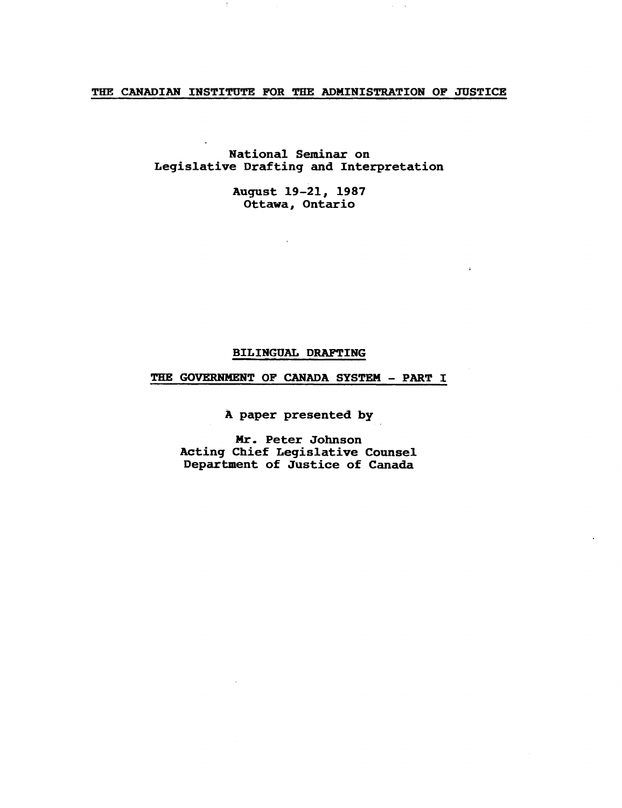# THE CANADIAN INSTITUTE FOR THE ADMINISTRATION OF JUSTICE

National Seminar on Legislative Drafting and Interpretation

> August 19-21, 1987 Ottawa, Ontario

> > $\Delta$

## BILINGUAL DRAFTING

# THE GOVERNMENT OF CANADA SYSTEM - PART I

A paper presented by

Mr. Peter Johnson Acting Chief Legislative Counsel Department of Justice of Canada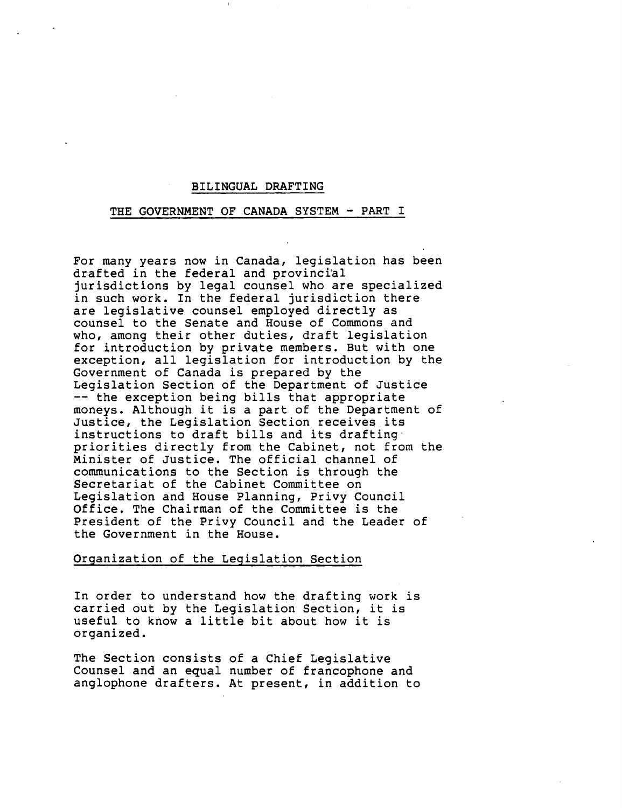#### BILINGUAL DRAFTING

#### THE GOVERNMENT OF CANADA SYSTEM - PART I

For many years now in Canada, legislation has been drafted in the federal and provinci'al jurisdictions by legal counsel who are specialized in such work. In the federal jurisdiction there are legislative counsel employed directly as counsel to the Senate and House of Commons and who, among their other duties, draft legislation for introduction by private members. But with one exception, all legislation for introduction by the Government of Canada *is* prepared by the Legislation Section of the Department of Justice<br>-- the exception being bills that appropriate moneys. Although it is a part of the Department of Justice, the Legislation Section receives its instructions to draft bills and its drafting' priorities directly from the Cabinet, not from the Minister of Justice. The official channel of communications to the Section is through the Secretariat of the Cabinet Committee on Legislation and House Planning, Privy Council Office. The Chairman of the Committee is the President of the Privy Council and the Leader of the Government in the House.

# Organization of the Legislation Section

In order to understand how the drafting work is carried out by the Legislation Section, it is useful to know a little bit about how it is organized.

The Section consists of a Chief Legislative Counsel and an equal number of francophone and anglophone drafters. At present, in addition to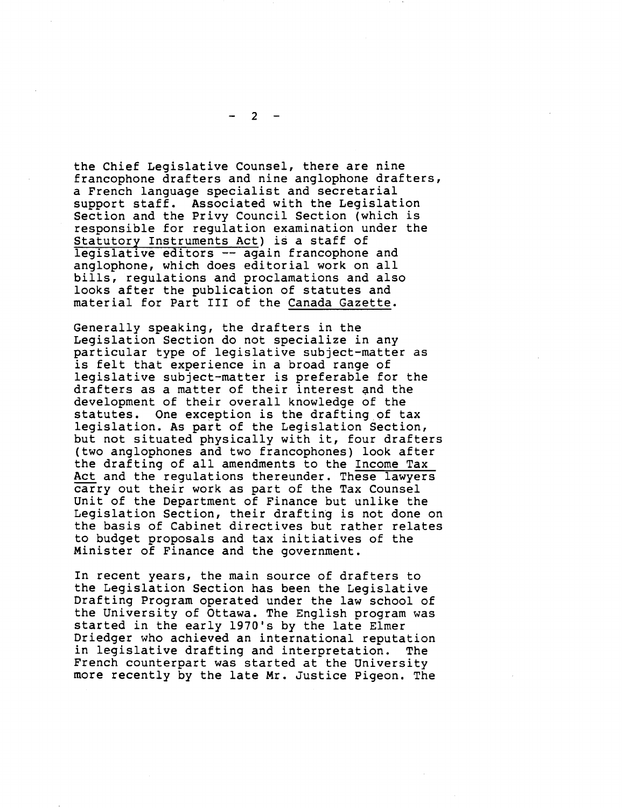the Chief Legislative Counsel, there are nine francophone drafters and nine anglophone drafters, a French language specialist and secretarial support staff. Associated with the Legislation Section and the Privy Council Section (which is responsible for regulation examination under the Statutory Instruments Act) is a staff of legislative editors -- again francophone and anglophone, which does editorial work on all bills, regulations and proclamations and also looks after the publication of statutes and material for Part III of the Canada Gazette.

Generally speaking, the drafters in the Legislation Section do not specialize in any particular type of legislative subject-matter as is felt that experience in a broad range of legislative subject-matter is preferable for the drafters as a matter of their interest and the development of their overall knowledge of the statutes. One exception is the drafting of tax legislation. As part of the Legislation Section, but not situated physically with it, four drafters (two anglophones and two francophones) look after the drafting of all amendments to the Income Tax Act and the regulations thereunder. These lawyers carry out their work as part of the Tax Counsel Unit of the Department of Finance but unlike the Legislation Section, their drafting is not done on the basis of Cabinet directives but rather relates to budget proposals and tax initiatives of the Minister of Finance and the government.

In recent years, the main source of drafters to the Legislation Section has been the Legislative Drafting Program operated under the law school of the University of Ottawa. The English program was started in the early 1970's by the late Elmer Driedger who achieved an international reputation in legislative drafting and interpretation. The French counterpart was started at the University more recently by the late Mr. Justice Pigeon. The

 $2 -$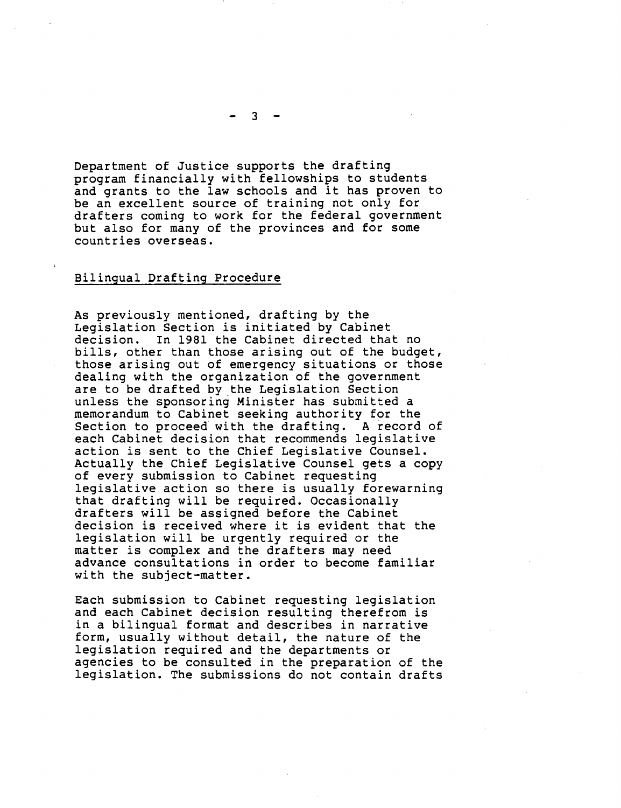Department of Justice supports the drafting program financially with fellowships to students and grants to the law schools and it has proven to be an excellent source of training not only for drafters coming to work for the federal government but also for many of the provinces and for some countries overseas.

### Bilingual Drafting Procedure

As previously mentioned, drafting by the Legislation Section is initiated by Cabinet<br>decision. In 1981 the Cabinet directed tha decision. In 1981 the Cabinet directed that no<br>bills, other than those arising out of the budget, those arising out of emergency situations or those dealing with the organization of the government are to be drafted by the Legislation Section unless the sponsoring Minister has submitted a memorandum to Cabinet seeking authority for the Section to proceed with the drafting. A record of each Cabinet decision that recommends legislative action is sent to the Chief Legislative Counsel. Actually the Chief Legislative Counsel gets a copy of every submission to Cabinet requesting legislative action so there is usually forewarning that drafting will be required. Occasionally drafters will be assigned before the Cabinet decision is received where it is evident that the legislation will be urgently required or the matter is complex and the drafters may need advance consultations in order to become familiar with the subject-matter.

Each submission to Cabinet requesting legislation and each Cabinet decision resulting therefrom is in a bilingual format and describes in narrative form, usually without detail, the nature of the legislation required and the departments or agencies to be consulted in the preparation of the legislation. The submissions do not contain drafts

 $3 -$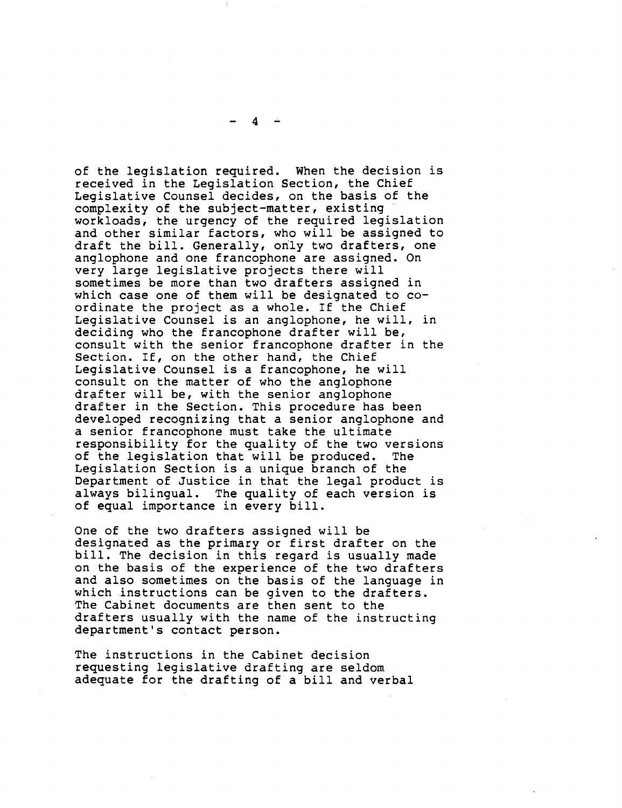of the legislation required. When the decision is received in the Legislation Section, the Chief Legislative Counsel decides, on the basis of the complexity of the subject-matter, existing workloads, the urgency of the required legislation and other similar factors, who will be assigned to draft the bill. Generally, only two drafters, one anglophone and one francophone are assigned. On very large legislative projects there will sometimes be more than two drafters assigned in which case one of them will be designated to coordinate the project as a whole. If the Chief Legislative Counsel is an anglophone, he will, in deciding who the francophone drafter will be, consult with the senior francophone drafter in the

Section. If, on the other hand, the Chief Legislative Counsel is a francophone, he will consult on the matter of who the anglophone<br>drafter will be, with the senior anglophone drafter in the Section. This procedure has been developed recognizing that a senior anglophone and a senior francophone must take the ultimate responsibility for the quality of the two versions of the legislation that will be produced. The Legislation Section is a unique branch of the Department of Justice in that the legal product is always bilingual. The quality of each version is of equal importance in every bill.

One of the two drafters assigned will be designated as the primary or first drafter on the bill. The decision in this regard is usually made on the basis of the experience of the two drafters and also sometimes on the basis of the language in which instructions can be given to the drafters. The Cabinet documents are then sent to the drafters usually with the name of the instructing department's contact person.

The instructions in the Cabinet decision requesting legislative drafting are seldom adequate for the drafting of a bill and verbal

 $4 -$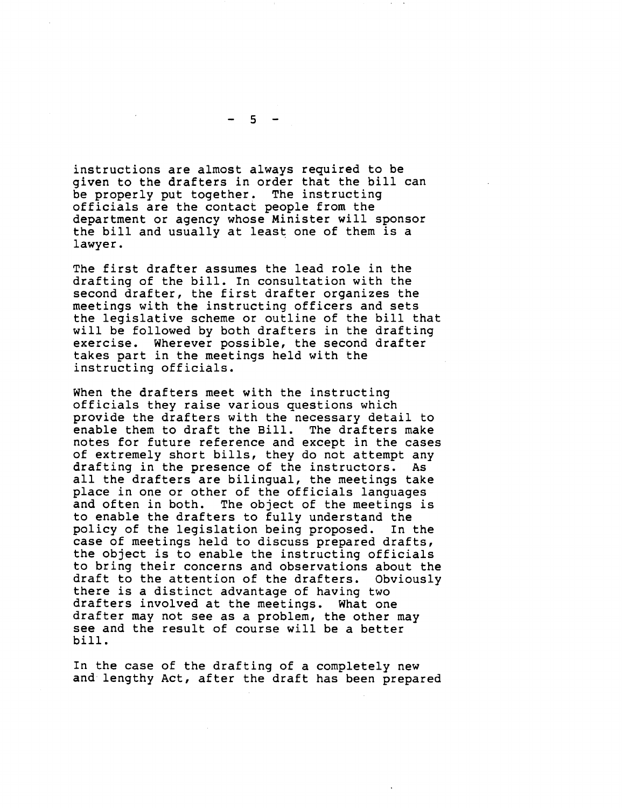instructions are almost always required to be given to the drafters in order that the bill can be properly put together. The instructing officials are the contact people from the department or agency whose Minister will sponsor the bill and usually at least one of them is a lawyer.

The first drafter assumes the lead role in the drafting of the bill. In consultation with the second drafter, the first drafter organizes the meetings with the instructing officers and sets the legislative scheme or outline of the bill that will be followed by both drafters in the drafting exercise. Wherever possible, the second drafter takes part in the meetings held with the instructing officials.

When the drafters meet with the instructing officials they raise various questions which provide the drafters with the necessary detail to enable them to draft the Bill. The drafters make notes for future reference and except in the cases of extremely short bills, they do not attempt any drafting in the presence of the instructors. As all the drafters are bilingual, the meetings take place in one or other of the officials languages and often in both. The object of the meetings is to enable the drafters to fully understand the policy of the legislation being proposed. In the case of meetings held to discuss prepared drafts, the object is to enable the instructing officials to bring their concerns and observations about the draft to the attention of the drafters. Obviously there is a distinct advantage of having two drafters involved at the meetings. What one drafter may not see as a problem, the other may see and the result of course will be a better bill.

In the case of the drafting of a completely new and lengthy Act, after the draft has been prepared

5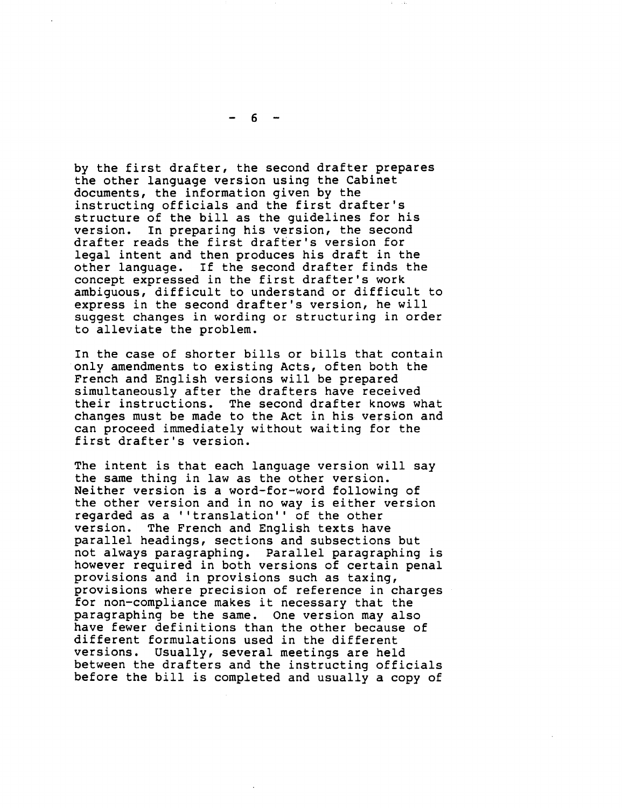by the first drafter, the second drafter prepares the other language version using the Cabinet documents, the information given by the instructing officials and the first drafter's structure of the bill as the guidelines for his version. In preparing his version, the second drafter reads the first drafter's version for legal intent and then produces his draft in the other language. If the second drafter finds the concept expressed in the first drafter's work ambiguous, difficult to understand or difficult to express in the second drafter's version, he will suggest changes in wording or structuring in order to alleviate the problem.

In the case of shorter bills or bills that contain only amendments to existing Acts, often both the French and English versions will be prepared simultaneously after the drafters have received their instructions. The second drafter knows what changes must be made to the Act in his version and can proceed immediately without waiting for the first drafter's version.

The intent *is* that each language version will say the same thing in law as the other version. Neither version *is* a word-for-word following of the other version and in no way is either version regarded as a ''translation'' of the other<br>version. The French and English texts hav The French and English texts have parallel headings, sections and subsections but not always paragraphing. Parallel paragraphing is however required in both versions of certain penal<br>provisions and in provisions such as taxing, provisions where precision of reference in charges for non-compliance makes it necessary that the paragraphing be the same. One version may also have fewer definitions than the other because of different formulations used in the different<br>versions. Usually, several meetings are hele Usually, several meetings are held between the drafters and the instructing officials before the bill *is* completed and usually a copy of

 $-6-$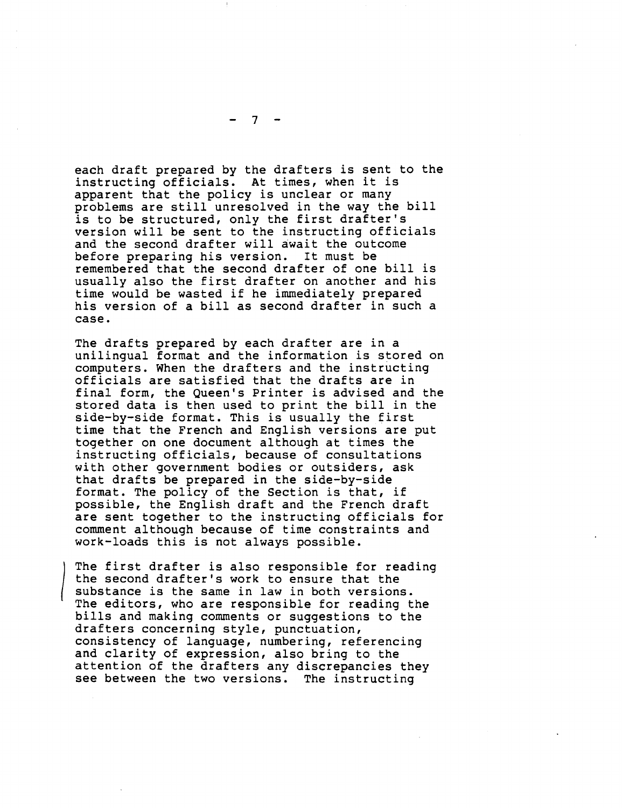each draft prepared by the drafters is sent to the instructing officials. At times, when it is<br>apparent that the policy is unclear or many problems are still unresolved in the way the bill is to be structured, only the first drafter's version will be sent to the instructing officials and the second drafter will await the outcome before preparing his version. It must be remembered that the second drafter of one bill is usually also the first drafter on another and his time would be wasted if he immediately prepared his version of a bill as second drafter in such a case.

The drafts prepared by each drafter are in a unilingual format and the information is stored on computers. When the drafters and the instructing officials are satisfied that the drafts are in final form, the Queen's Printer is advised and the stored data is then used to print the bill in the side-by-side format. This is usually the first time that the French and English versions are put together on one document although at times the instructing officials, because of consultations with other government bodies or outsiders, ask that drafts be prepared in the side-by-side format. The policy of the Section is that, if possible, the English draft and the French draft are sent together to the instructing officials for comment although because of time constraints and work-loads this is not always possible.

The first drafter is also responsible for reading the second drafter's work to ensure that the substance is the same in law in both versions. The editors, who are responsible for reading the bills and making comments or suggestions to the drafters concerning style, punctuation, consistency of language, numbering, referencing and clarity of expression, also bring to the attention of the drafters any discrepancies they see between the two versions. The instructing

7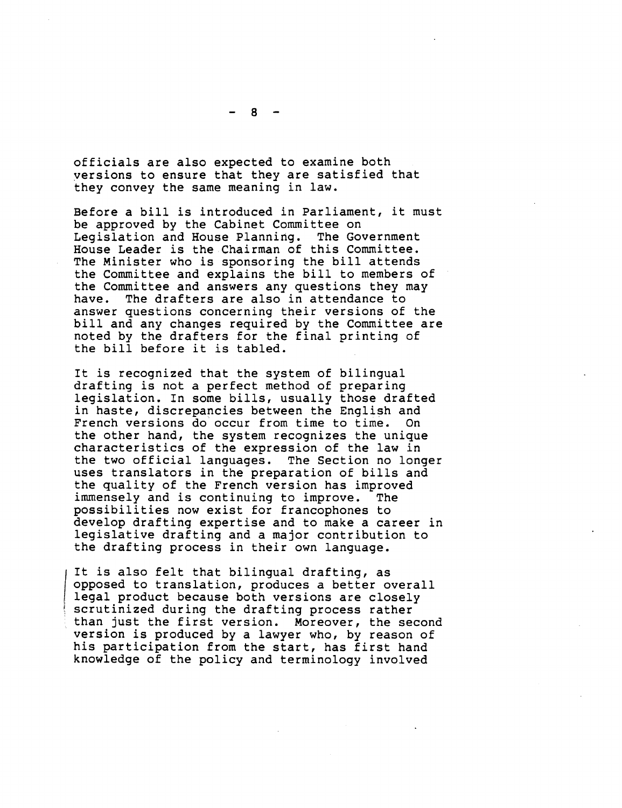8

officials are also expected to examine both yersions to ensure that they are satisfied that they convey the same meaning in law.

Before a bill is introduced in Parliament, it must be approved by the Cabinet Committee on Legislation and House Planning. The Government House Leader is the Chairman of this Committee. The Minister who is sponsoring the bill attends the Committee and explains the bill to members of the Committee and answers any questions they may<br>have. The drafters are also in attendance to The drafters are also in attendance to answer questions concerning their versions of the bill and any changes required by the Committee are noted by the drafters for the final printing of the bill before it is tabled.

It is recognized that the system of bilingual drafting is not a perfect method of preparing legislation. In some bills, usually those drafted in haste, discrepancies between the English and French versions do occur from time to time. the other hand, the system recognizes the unique characteristics of the expression of the law in the two official languages. The Section no longer uses translators in the preparation of bills and the quality of the French version has improved<br>immenselv and is continuing to improve. The immensely and is continuing to improve. possibilities now exist for francophones to develop drafting expertise and to make a career in legislative drafting and a major contribution to the drafting process in their own language.

It is also felt that bilingual drafting, as opposed to translation, produces a better overall legal product because both versions are closely scrutinized during the drafting process rather than just the first version. Moreover, the second version *is* produced by a lawyer who, by reason of *his* participation from the start, has first hand knowledge of the policy and terminology involved